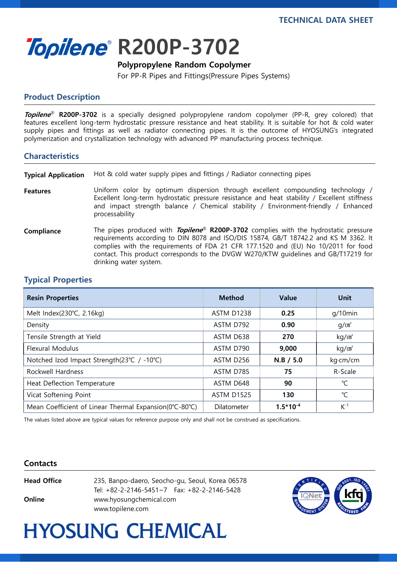i<br>I



#### Polypropylene Random Copolymer

For PP-R Pipes and Fittings(Pressure Pipes Systems)

## Product Description

**Topilene<sup>®</sup> R200P-3702** is a specially designed polypropylene random copolymer (PP-R, grey colored) that features excellent long-term hydrostatic pressure resistance and heat stability. It is suitable for hot & cold water supply pipes and fittings as well as radiator connecting pipes. It is the outcome of HYOSUNG's integrated polymerization and crystallization technology with advanced PP manufacturing process technique.

#### **Characteristics**

Typical Application Hot & cold water supply pipes and fittings / Radiator connecting pipes

- Features Uniform color by optimum dispersion through excellent compounding technology / Excellent long-term hydrostatic pressure resistance and heat stability / Excellent stiffness and impact strength balance / Chemical stability / Environment-friendly / Enhanced processability
- Compliance The pipes produced with Topilene® R200P-3702 complies with the hydrostatic pressure requirements according to DIN 8078 and ISO/DIS 15874, GB/T 18742.2 and KS M 3362. It complies with the requirements of FDA 21 CFR 177.1520 and (EU) No 10/2011 for food contact. This product corresponds to the DVGW W270/KTW guidelines and GB/T17219 for drinking water system.

## Typical Properties

| <b>Resin Properties</b>                                | <b>Method</b>     | <b>Value</b>  | Unit              |
|--------------------------------------------------------|-------------------|---------------|-------------------|
| Melt Index(230°C, 2.16kg)                              | ASTM D1238        | 0.25          | $q/10$ min        |
| Density                                                | ASTM D792         | 0.90          | q/cm <sup>3</sup> |
| Tensile Strength at Yield                              | ASTM D638         | 270           | kg/m <sup>2</sup> |
| Flexural Modulus                                       | ASTM D790         | 9,000         | kg/m <sup>2</sup> |
| Notched Izod Impact Strength(23°C / -10°C)             | ASTM D256         | $N.B$ / 5.0   | kg·cm/cm          |
| Rockwell Hardness                                      | ASTM D785         | 75            | R-Scale           |
| Heat Deflection Temperature                            | ASTM D648         | 90            | ℃                 |
| Vicat Softening Point                                  | <b>ASTM D1525</b> | 130           | °C                |
| Mean Coefficient of Linear Thermal Expansion(0°C-80°C) | Dilatometer       | $1.5*10^{-4}$ | $K-1$             |

The values listed above are typical values for reference purpose only and shall not be construed as specifications.

#### **Contacts**

**Online** www.hyosungchemical.com

Head Office 235, Banpo-daero, Seocho-gu, Seoul, Korea 06578 Tel: +82-2-2146-5451~7 Fax: +82-2-2146-5428 www.topilene.com



# **HYOSUNG CHEMICAL**